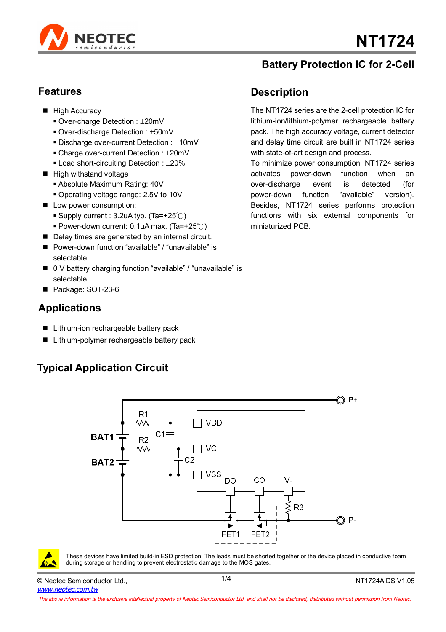

#### **Battery Protection IC for 2-Cell**

#### **Features**

- **High Accuracy** 
	- $\blacksquare$  Over-charge Detection :  $\pm 20$ mV
	- Over-discharge Detection : ±50mV
	- $\blacksquare$  Discharge over-current Detection :  $\pm 10$ mV
	- $\blacksquare$  Charge over-current Detection :  $\pm 20$ mV
	- $\blacksquare$  Load short-circuiting Detection :  $\pm 20\%$
- High withstand voltage
	- Absolute Maximum Rating: 40V
	- Operating voltage range: 2.5V to 10V
- **Low power consumption:** 
	- Supply current :  $3.2$ uA typ. (Ta=+25°C)
	- Power-down current: 0.1uA max. (Ta=+25℃)
- Delay times are generated by an internal circuit.
- Power-down function "available" / "unavailable" is selectable.
- 0 V battery charging function "available" / "unavailable" is selectable.
- Package: SOT-23-6

#### **Applications**

- Lithium-ion rechargeable battery pack
- Lithium-polymer rechargeable battery pack

# **Typical Application Circuit**

### **Description**

The NT1724 series are the 2-cell protection IC for lithium-ion/lithium-polymer rechargeable battery pack. The high accuracy voltage, current detector and delay time circuit are built in NT1724 series with state-of-art design and process.

To minimize power consumption, NT1724 series activates power-down function when an over-discharge event is detected (for power-down function "available" version). Besides, NT1724 series performs protection functions with six external components for miniaturized PCB.





These devices have limited build-in ESD protection. The leads must be shorted together or the device placed in conductive foam during storage or handling to prevent electrostatic damage to the MOS gates.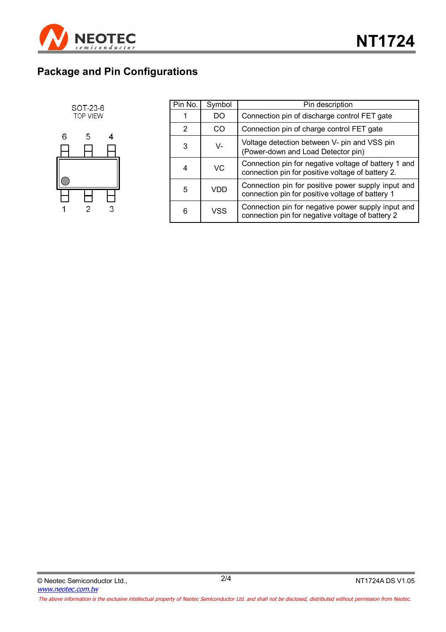

# **Package and Pin Configurations**



 $\overline{2}$ 

 $\overline{3}$ 

| Pin No. | Symbol    | Pin description                                                                                           |
|---------|-----------|-----------------------------------------------------------------------------------------------------------|
|         | DO        | Connection pin of discharge control FET gate                                                              |
| 2       | CO        | Connection pin of charge control FET gate                                                                 |
| 3       | V-        | Voltage detection between V- pin and VSS pin<br>(Power-down and Load Detector pin)                        |
|         | <b>VC</b> | Connection pin for negative voltage of battery 1 and<br>connection pin for positive voltage of battery 2. |
| 5       | VDD       | Connection pin for positive power supply input and<br>connection pin for positive voltage of battery 1    |
| 6       | VSS       | Connection pin for negative power supply input and<br>connection pin for negative voltage of battery 2    |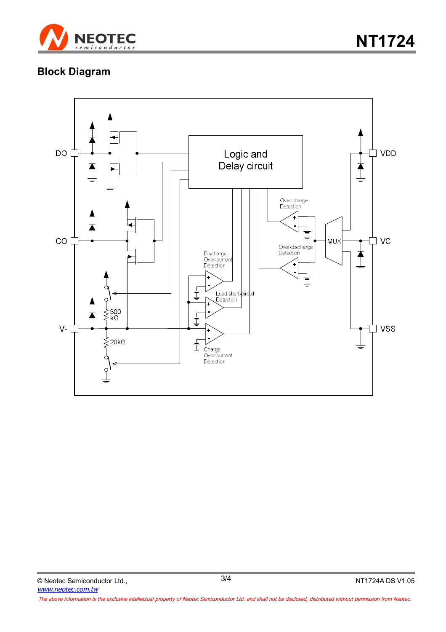

# **Block Diagram**